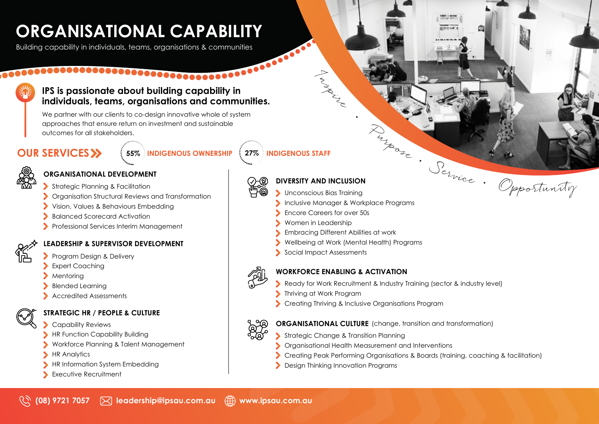# **ORGANISATIONAL CAPABILITY**

Building capability in individuals, teams, organisations & communities

# **IPS is passionate about building capability in individuals, teams, organisations and communities.**

We partner with our clients to co-design innovative whole of system approaches that ensure return on investment and sustainable outcomes for all stakeholders.

# **OUR SERVICES**<sup>></sup>

**55% INDIGENOUS OWNERSHIP 27% INDIGENOUS STAFF**

# **ORGANISATIONAL DEVELOPMENT**

- Strategic Planning & Facilitation
- Organisation Structural Reviews and Transformation
- Vision, Values & Behaviours Embedding
- Balanced Scorecard Activation
- **Professional Services Interim Management**

# **LEADERSHIP & SUPERVISOR DEVELOPMENT**

- Program Design & Delivery
- Expert Coaching
- Mentoring
- Blended Learning
- Accredited Assessments



# **STRATEGIC HR / PEOPLE & CULTURE**

- Capability Reviews
- **HR Function Capability Building**
- Workforce Planning & Talent Management
- **HR Analytics**
- HR Information System Embedding
- Executive Recruitment



# **DIVERSITY AND INCLUSION**

Indiscripting

- Unconscious Bias Training
- Inclusive Manager & Workplace Programs

•

- **Encore Careers for over 50s**
- Women in Leadership
- Embracing Different Abilities at work
- Wellbeing at Work (Mental Health) Programs
- Social Impact Assessments



# **WORKFORCE ENABLING & ACTIVATION**

- Ready for Work Recruitment & Industry Training (sector & industry level)
- Thriving at Work Program
- $\blacktriangleright$ Creating Thriving & Inclusive Organisations Program



**ORGANISATIONAL CULTURE** (change, transition and transformation)

- Strategic Change & Transition Planning
- Organisational Health Measurement and Interventions ⋗
- Creating Peak Performing Organisations & Boards (training, coaching & facilitation)
- **Design Thinking Innovation Programs**

<sup>P</sup><sup>u</sup><sup>r</sup>p<sup>o</sup>s<sup>e</sup> • <sup>S</sup><sup>e</sup>rvic<sup>e</sup> •

**SHOW** 

đ.

· Opportunity